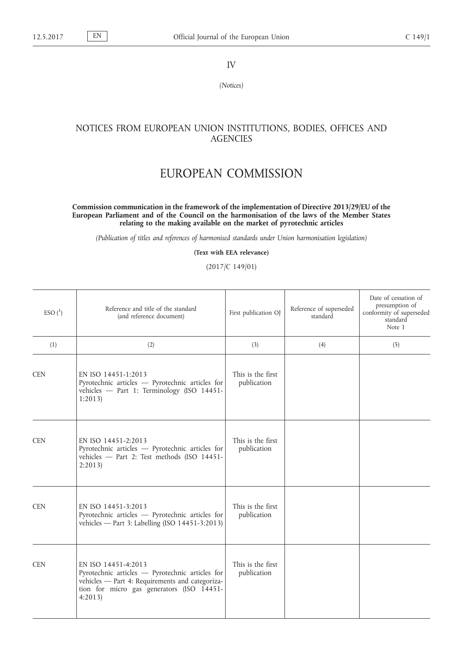IV

*(Notices)*

## NOTICES FROM EUROPEAN UNION INSTITUTIONS, BODIES, OFFICES AND **AGENCIES**

## EUROPEAN COMMISSION

## **Commission communication in the framework of the implementation of Directive 2013/29/EU of the European Parliament and of the Council on the harmonisation of the laws of the Member States relating to the making available on the market of pyrotechnic articles**

*(Publication of titles and references of harmonised standards under Union harmonisation legislation)*

**(Text with EEA relevance)**

(2017/C 149/01)

| ESO <sup>1</sup> | Reference and title of the standard<br>(and reference document)                                                                                                                  | First publication OJ             | Reference of superseded<br>standard | Date of cessation of<br>presumption of<br>conformity of superseded<br>standard<br>Note 1 |
|------------------|----------------------------------------------------------------------------------------------------------------------------------------------------------------------------------|----------------------------------|-------------------------------------|------------------------------------------------------------------------------------------|
| (1)              | (2)                                                                                                                                                                              | (3)                              | (4)                                 | (5)                                                                                      |
| <b>CEN</b>       | EN ISO 14451-1:2013<br>Pyrotechnic articles - Pyrotechnic articles for<br>vehicles - Part 1: Terminology (ISO 14451-<br>1:2013                                                   | This is the first<br>publication |                                     |                                                                                          |
| <b>CEN</b>       | EN ISO 14451-2:2013<br>Pyrotechnic articles - Pyrotechnic articles for<br>vehicles - Part 2: Test methods (ISO 14451-<br>2:2013                                                  | This is the first<br>publication |                                     |                                                                                          |
| <b>CEN</b>       | EN ISO 14451-3:2013<br>Pyrotechnic articles - Pyrotechnic articles for<br>vehicles - Part 3: Labelling (ISO 14451-3:2013)                                                        | This is the first<br>publication |                                     |                                                                                          |
| <b>CEN</b>       | EN ISO 14451-4:2013<br>Pyrotechnic articles - Pyrotechnic articles for<br>vehicles - Part 4: Requirements and categoriza-<br>tion for micro gas generators (ISO 14451-<br>4:2013 | This is the first<br>publication |                                     |                                                                                          |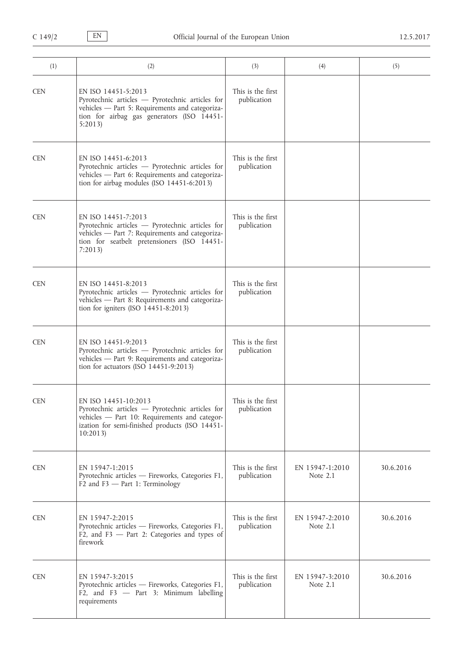| (1)        | (2)                                                                                                                                                                                   | (3)                              | (4)                           | (5)       |
|------------|---------------------------------------------------------------------------------------------------------------------------------------------------------------------------------------|----------------------------------|-------------------------------|-----------|
| <b>CEN</b> | EN ISO 14451-5:2013<br>Pyrotechnic articles - Pyrotechnic articles for<br>vehicles - Part 5: Requirements and categoriza-<br>tion for airbag gas generators (ISO 14451-<br>5:2013     | This is the first<br>publication |                               |           |
| <b>CEN</b> | EN ISO 14451-6:2013<br>Pyrotechnic articles - Pyrotechnic articles for<br>vehicles - Part 6: Requirements and categoriza-<br>tion for airbag modules (ISO 14451-6:2013)               | This is the first<br>publication |                               |           |
| <b>CEN</b> | EN ISO 14451-7:2013<br>Pyrotechnic articles - Pyrotechnic articles for<br>vehicles - Part 7: Requirements and categoriza-<br>tion for seatbelt pretensioners (ISO 14451-<br>7:2013    | This is the first<br>publication |                               |           |
| <b>CEN</b> | EN ISO 14451-8:2013<br>Pyrotechnic articles - Pyrotechnic articles for<br>vehicles - Part 8: Requirements and categoriza-<br>tion for igniters $(ISO 14451-8:2013)$                   | This is the first<br>publication |                               |           |
| <b>CEN</b> | EN ISO 14451-9:2013<br>Pyrotechnic articles - Pyrotechnic articles for<br>vehicles - Part 9: Requirements and categoriza-<br>tion for actuators (ISO 14451-9:2013)                    | This is the first<br>publication |                               |           |
| <b>CEN</b> | EN ISO 14451-10:2013<br>Pyrotechnic articles - Pyrotechnic articles for<br>vehicles - Part 10: Requirements and categor-<br>ization for semi-finished products (ISO 14451-<br>10:2013 | This is the first<br>publication |                               |           |
| <b>CEN</b> | EN 15947-1:2015<br>Pyrotechnic articles - Fireworks, Categories F1,<br>$F2$ and $F3$ - Part 1: Terminology                                                                            | This is the first<br>publication | EN 15947-1:2010<br>Note 2.1   | 30.6.2016 |
| <b>CEN</b> | EN 15947-2:2015<br>Pyrotechnic articles - Fireworks, Categories F1,<br>F2, and F3 - Part 2: Categories and types of<br>firework                                                       | This is the first<br>publication | EN 15947-2:2010<br>Note $2.1$ | 30.6.2016 |
| <b>CEN</b> | EN 15947-3:2015<br>Pyrotechnic articles - Fireworks, Categories F1,<br>F2, and F3 - Part 3: Minimum labelling<br>requirements                                                         | This is the first<br>publication | EN 15947-3:2010<br>Note $2.1$ | 30.6.2016 |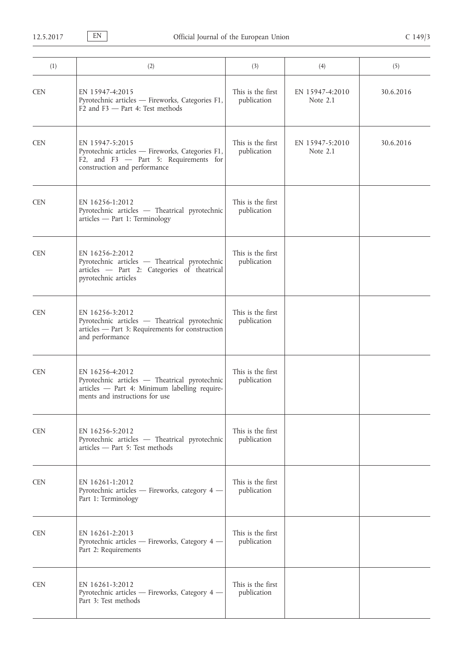| (1)        | (2)                                                                                                                                                 | (3)                              | (4)                         | (5)       |
|------------|-----------------------------------------------------------------------------------------------------------------------------------------------------|----------------------------------|-----------------------------|-----------|
| <b>CEN</b> | EN 15947-4:2015<br>Pyrotechnic articles - Fireworks, Categories F1,<br>F <sub>2</sub> and F <sub>3</sub> - Part 4: Test methods                     | This is the first<br>publication | EN 15947-4:2010<br>Note 2.1 | 30.6.2016 |
| <b>CEN</b> | EN 15947-5:2015<br>Pyrotechnic articles - Fireworks, Categories F1,<br>F2, and F3 - Part 5: Requirements for<br>construction and performance        | This is the first<br>publication | EN 15947-5:2010<br>Note 2.1 | 30.6.2016 |
| <b>CEN</b> | EN 16256-1:2012<br>Pyrotechnic articles - Theatrical pyrotechnic<br>articles - Part 1: Terminology                                                  | This is the first<br>publication |                             |           |
| <b>CEN</b> | EN 16256-2:2012<br>Pyrotechnic articles - Theatrical pyrotechnic<br>articles - Part 2: Categories of theatrical<br>pyrotechnic articles             | This is the first<br>publication |                             |           |
| <b>CEN</b> | EN 16256-3:2012<br>Pyrotechnic articles - Theatrical pyrotechnic<br>articles - Part 3: Requirements for construction<br>and performance             | This is the first<br>publication |                             |           |
| <b>CEN</b> | EN 16256-4:2012<br>Pyrotechnic articles - Theatrical pyrotechnic<br>articles - Part 4: Minimum labelling require-<br>ments and instructions for use | This is the first<br>publication |                             |           |
| <b>CEN</b> | EN 16256-5:2012<br>Pyrotechnic articles - Theatrical pyrotechnic<br>articles - Part 5: Test methods                                                 | This is the first<br>publication |                             |           |
| <b>CEN</b> | EN 16261-1:2012<br>Pyrotechnic articles - Fireworks, category 4 -<br>Part 1: Terminology                                                            | This is the first<br>publication |                             |           |
| <b>CEN</b> | EN 16261-2:2013<br>Pyrotechnic articles - Fireworks, Category 4 -<br>Part 2: Requirements                                                           | This is the first<br>publication |                             |           |
| <b>CEN</b> | EN 16261-3:2012<br>Pyrotechnic articles - Fireworks, Category 4 -<br>Part 3: Test methods                                                           | This is the first<br>publication |                             |           |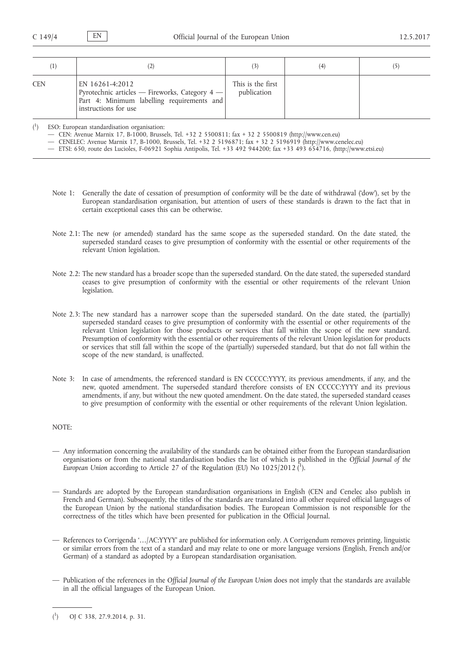| $_{(1)}$   | (2)                                                                                                                                     |                                  | (4) |  |
|------------|-----------------------------------------------------------------------------------------------------------------------------------------|----------------------------------|-----|--|
| <b>CEN</b> | EN 16261-4:2012<br>Pyrotechnic articles - Fireworks, Category 4 -<br>Part 4: Minimum labelling requirements and<br>instructions for use | This is the first<br>publication |     |  |

 $\binom{1}{1}$ ) ESO: European standardisation organisation:

— CEN: Avenue Marnix 17, B-1000, Brussels, Tel. +32 2 5500811; fax + 32 2 5500819 [\(http://www.cen.eu\)](http://www.cen.eu)

— CENELEC: Avenue Marnix 17, B-1000, Brussels, Tel. +32 2 5196871; fax + 32 2 5196919 ([http://www.cenelec.eu\)](http://www.cenelec.eu)

— ETSI: 650, route des Lucioles, F-06921 Sophia Antipolis, Tel. +33 492 944200; fax +33 493 654716, ([http://www.etsi.eu\)](http://www.etsi.eu)

- Note 1: Generally the date of cessation of presumption of conformity will be the date of withdrawal ('dow'), set by the European standardisation organisation, but attention of users of these standards is drawn to the fact that in certain exceptional cases this can be otherwise.
- Note 2.1: The new (or amended) standard has the same scope as the superseded standard. On the date stated, the superseded standard ceases to give presumption of conformity with the essential or other requirements of the relevant Union legislation.
- Note 2.2: The new standard has a broader scope than the superseded standard. On the date stated, the superseded standard ceases to give presumption of conformity with the essential or other requirements of the relevant Union legislation.
- Note 2.3: The new standard has a narrower scope than the superseded standard. On the date stated, the (partially) superseded standard ceases to give presumption of conformity with the essential or other requirements of the relevant Union legislation for those products or services that fall within the scope of the new standard. Presumption of conformity with the essential or other requirements of the relevant Union legislation for products or services that still fall within the scope of the (partially) superseded standard, but that do not fall within the scope of the new standard, is unaffected.
- Note 3: In case of amendments, the referenced standard is EN CCCCC:YYYY, its previous amendments, if any, and the new, quoted amendment. The superseded standard therefore consists of EN CCCCC:YYYY and its previous amendments, if any, but without the new quoted amendment. On the date stated, the superseded standard ceases to give presumption of conformity with the essential or other requirements of the relevant Union legislation.

## NOTE:

- Any information concerning the availability of the standards can be obtained either from the European standardisation organisations or from the national standardisation bodies the list of which is published in the *Official Journal of the*  European Union according to Article 27 of the Regulation (EU) No 1025/2012 (<sup>1</sup>).
- Standards are adopted by the European standardisation organisations in English (CEN and Cenelec also publish in French and German). Subsequently, the titles of the standards are translated into all other required official languages of the European Union by the national standardisation bodies. The European Commission is not responsible for the correctness of the titles which have been presented for publication in the Official Journal.
- References to Corrigenda '…/AC:YYYY' are published for information only. A Corrigendum removes printing, linguistic or similar errors from the text of a standard and may relate to one or more language versions (English, French and/or German) of a standard as adopted by a European standardisation organisation.
- Publication of the references in the *Official Journal of the European Union* does not imply that the standards are available in all the official languages of the European Union.